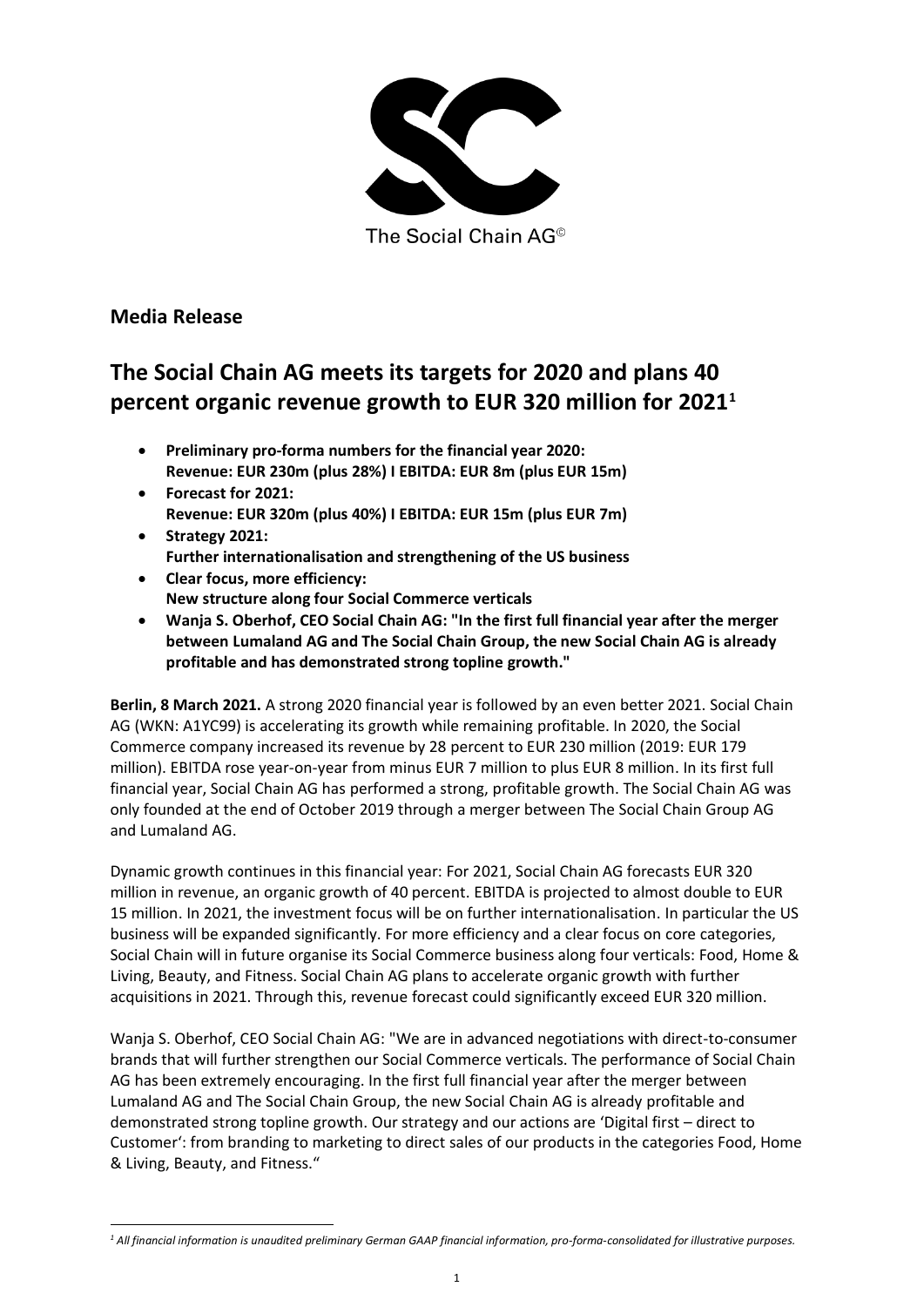

The Social Chain AG<sup>®</sup>

## **Media Release**

# **The Social Chain AG meets its targets for 2020 and plans 40 percent organic revenue growth to EUR 320 million for 2021<sup>1</sup>**

- **Preliminary pro-forma numbers for the financial year 2020: Revenue: EUR 230m (plus 28%) I EBITDA: EUR 8m (plus EUR 15m)**
- **Forecast for 2021: Revenue: EUR 320m (plus 40%) I EBITDA: EUR 15m (plus EUR 7m)**
- **Strategy 2021: Further internationalisation and strengthening of the US business**
- **Clear focus, more efficiency: New structure along four Social Commerce verticals**
- **Wanja S. Oberhof, CEO Social Chain AG: "In the first full financial year after the merger between Lumaland AG and The Social Chain Group, the new Social Chain AG is already profitable and has demonstrated strong topline growth."**

**Berlin, 8 March 2021.** A strong 2020 financial year is followed by an even better 2021. Social Chain AG (WKN: A1YC99) is accelerating its growth while remaining profitable. In 2020, the Social Commerce company increased its revenue by 28 percent to EUR 230 million (2019: EUR 179 million). EBITDA rose year-on-year from minus EUR 7 million to plus EUR 8 million. In its first full financial year, Social Chain AG has performed a strong, profitable growth. The Social Chain AG was only founded at the end of October 2019 through a merger between The Social Chain Group AG and Lumaland AG.

Dynamic growth continues in this financial year: For 2021, Social Chain AG forecasts EUR 320 million in revenue, an organic growth of 40 percent. EBITDA is projected to almost double to EUR 15 million. In 2021, the investment focus will be on further internationalisation. In particular the US business will be expanded significantly. For more efficiency and a clear focus on core categories, Social Chain will in future organise its Social Commerce business along four verticals: Food, Home & Living, Beauty, and Fitness. Social Chain AG plans to accelerate organic growth with further acquisitions in 2021. Through this, revenue forecast could significantly exceed EUR 320 million.

Wanja S. Oberhof, CEO Social Chain AG: "We are in advanced negotiations with direct-to-consumer brands that will further strengthen our Social Commerce verticals. The performance of Social Chain AG has been extremely encouraging. In the first full financial year after the merger between Lumaland AG and The Social Chain Group, the new Social Chain AG is already profitable and demonstrated strong topline growth. Our strategy and our actions are 'Digital first – direct to Customer': from branding to marketing to direct sales of our products in the categories Food, Home & Living, Beauty, and Fitness."

*<sup>1</sup> All financial information is unaudited preliminary German GAAP financial information, pro-forma-consolidated for illustrative purposes.*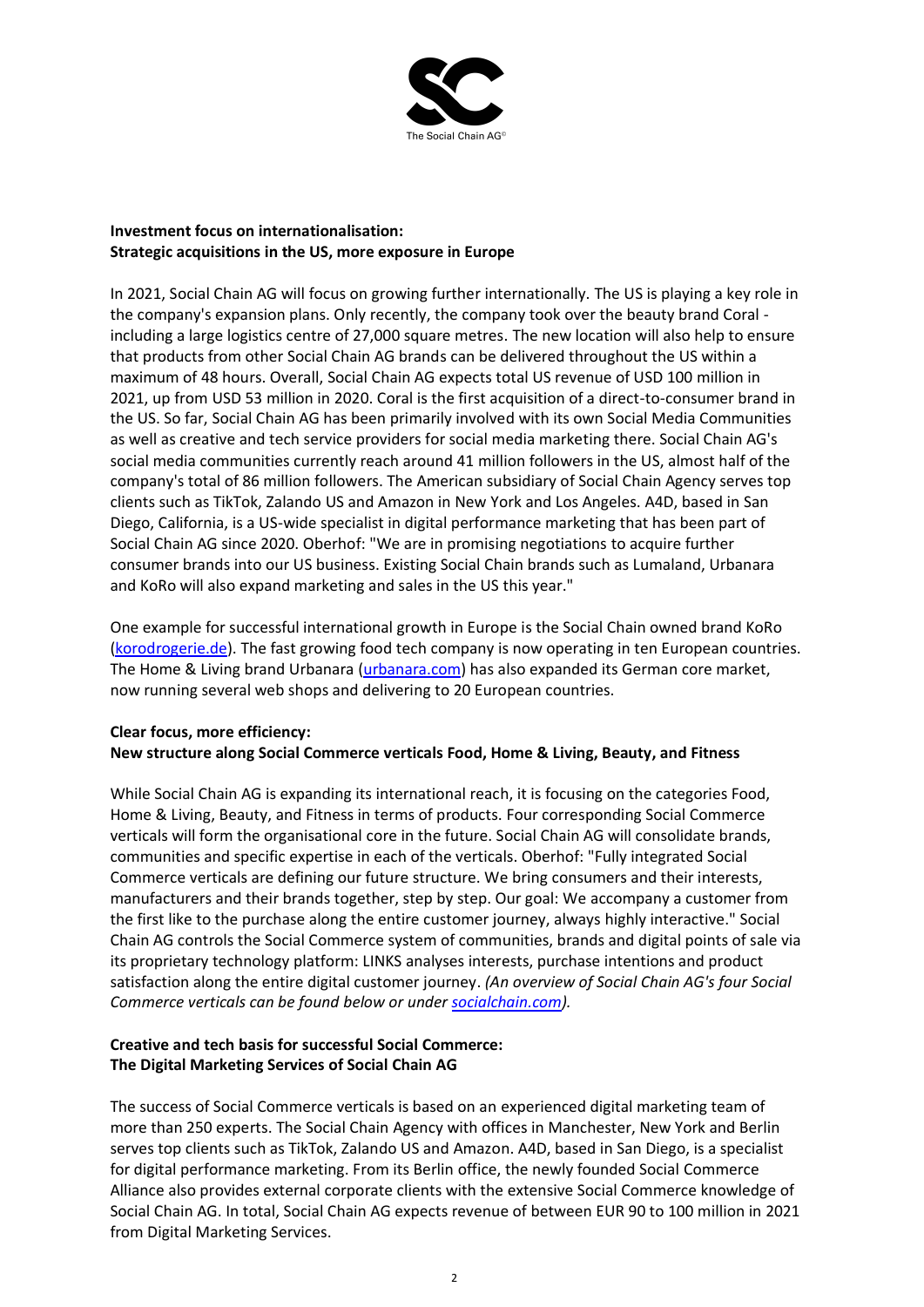

### **Investment focus on internationalisation: Strategic acquisitions in the US, more exposure in Europe**

In 2021, Social Chain AG will focus on growing further internationally. The US is playing a key role in the company's expansion plans. Only recently, the company took over the beauty brand Coral including a large logistics centre of 27,000 square metres. The new location will also help to ensure that products from other Social Chain AG brands can be delivered throughout the US within a maximum of 48 hours. Overall, Social Chain AG expects total US revenue of USD 100 million in 2021, up from USD 53 million in 2020. Coral is the first acquisition of a direct-to-consumer brand in the US. So far, Social Chain AG has been primarily involved with its own Social Media Communities as well as creative and tech service providers for social media marketing there. Social Chain AG's social media communities currently reach around 41 million followers in the US, almost half of the company's total of 86 million followers. The American subsidiary of Social Chain Agency serves top clients such as TikTok, Zalando US and Amazon in New York and Los Angeles. A4D, based in San Diego, California, is a US-wide specialist in digital performance marketing that has been part of Social Chain AG since 2020. Oberhof: "We are in promising negotiations to acquire further consumer brands into our US business. Existing Social Chain brands such as Lumaland, Urbanara and KoRo will also expand marketing and sales in the US this year."

One example for successful international growth in Europe is the Social Chain owned brand KoRo [\(korodrogerie.de\)](http://www.korodrogerie.de/). The fast growing food tech company is now operating in ten European countries. The Home & Living brand Urbanara [\(urbanara.com\)](http://www.urbanara.com/) has also expanded its German core market, now running several web shops and delivering to 20 European countries.

### **Clear focus, more efficiency: New structure along Social Commerce verticals Food, Home & Living, Beauty, and Fitness**

While Social Chain AG is expanding its international reach, it is focusing on the categories Food, Home & Living, Beauty, and Fitness in terms of products. Four corresponding Social Commerce verticals will form the organisational core in the future. Social Chain AG will consolidate brands, communities and specific expertise in each of the verticals. Oberhof: "Fully integrated Social Commerce verticals are defining our future structure. We bring consumers and their interests, manufacturers and their brands together, step by step. Our goal: We accompany a customer from the first like to the purchase along the entire customer journey, always highly interactive." Social Chain AG controls the Social Commerce system of communities, brands and digital points of sale via its proprietary technology platform: LINKS analyses interests, purchase intentions and product satisfaction along the entire digital customer journey. *(An overview of Social Chain AG's four Social Commerce verticals can be found below or under [socialchain.com\)](http://socialchain.com/).*

### **Creative and tech basis for successful Social Commerce: The Digital Marketing Services of Social Chain AG**

The success of Social Commerce verticals is based on an experienced digital marketing team of more than 250 experts. The Social Chain Agency with offices in Manchester, New York and Berlin serves top clients such as TikTok, Zalando US and Amazon. A4D, based in San Diego, is a specialist for digital performance marketing. From its Berlin office, the newly founded Social Commerce Alliance also provides external corporate clients with the extensive Social Commerce knowledge of Social Chain AG. In total, Social Chain AG expects revenue of between EUR 90 to 100 million in 2021 from Digital Marketing Services.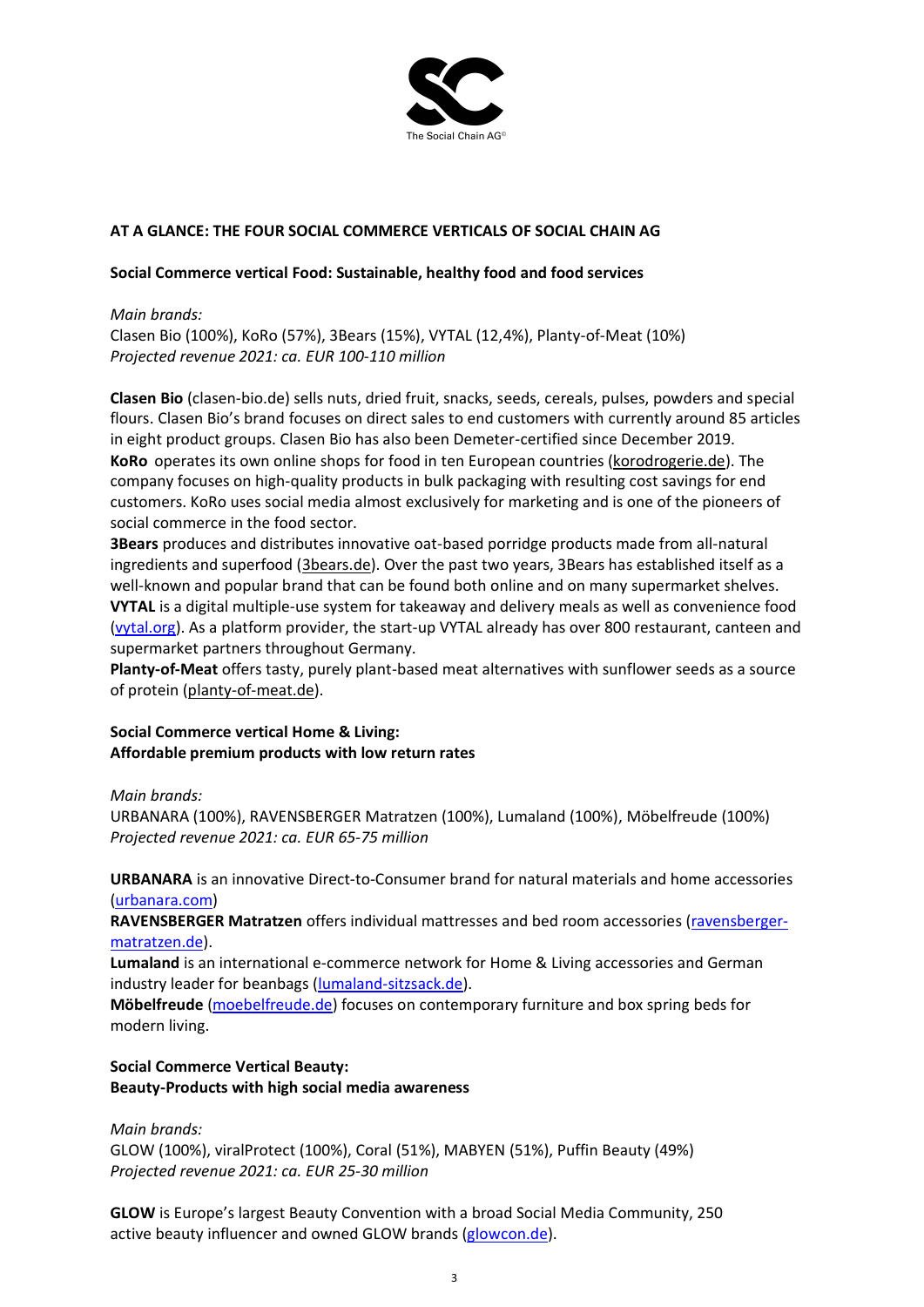

#### **AT A GLANCE: THE FOUR SOCIAL COMMERCE VERTICALS OF SOCIAL CHAIN AG**

#### **Social Commerce vertical Food: Sustainable, healthy food and food services**

#### *Main brands:*

Clasen Bio (100%), KoRo (57%), 3Bears (15%), VYTAL (12,4%), Planty-of-Meat (10%) *Projected revenue 2021: ca. EUR 100-110 million*

**Clasen Bio** [\(clasen-bio.de\)](https://clasen-bio.de/) sells nuts, dried fruit, snacks, seeds, cereals, pulses, powders and special flours. Clasen Bio's brand focuses on direct sales to end customers with currently around 85 articles in eight product groups. Clasen Bio has also been Demeter-certified since December 2019. **KoRo** operates its own online shops for food in ten European countries [\(korodrogerie.de\)](https://www.korodrogerie.de/). The company focuses on high-quality products in bulk packaging with resulting cost savings for end customers. KoRo uses social media almost exclusively for marketing and is one of the pioneers of social commerce in the food sector.

**3Bears** produces and distributes innovative oat-based porridge products made from all-natural ingredients and superfood [\(3bears.de\)](https://3bears.de/). Over the past two years, 3Bears has established itself as a well-known and popular brand that can be found both online and on many supermarket shelves. **VYTAL** is a digital multiple-use system for takeaway and delivery meals as well as convenience food [\(vytal.org\)](http://vytal.org/). As a platform provider, the start-up VYTAL already has over 800 restaurant, canteen and supermarket partners throughout Germany.

**Planty-of-Meat** offers tasty, purely plant-based meat alternatives with sunflower seeds as a source of protein [\(planty-of-meat.de\)](https://planty-of-meat.de/).

#### **Social Commerce vertical Home & Living: Affordable premium products with low return rates**

*Main brands:* 

URBANARA (100%), RAVENSBERGER Matratzen (100%), Lumaland (100%), Möbelfreude (100%) *Projected revenue 2021: ca. EUR 65-75 million*

#### **URBANARA** is an innovative Direct-to-Consumer brand for natural materials and home accessories [\(urbanara.com\)](http://www.urbanara.com/)

**RAVENSBERGER Matratzen** offers individual mattresses and bed room accessories [\(ravensberger](https://www.ravensberger-matratzen.de/)[matratzen.de\)](https://www.ravensberger-matratzen.de/).

**Lumaland** is an international e-commerce network for Home & Living accessories and German industry leader for beanbags [\(lumaland-sitzsack.de\)](http://www.lumaland-sitzsack.de/).

**Möbelfreude** [\(moebelfreude.de\)](http://www.moebelfreude.de/) focuses on contemporary furniture and box spring beds for modern living.

### **Social Commerce Vertical Beauty: Beauty-Products with high social media awareness**

#### *Main brands:*

GLOW (100%), viralProtect (100%), Coral (51%), MABYEN (51%), Puffin Beauty (49%) *Projected revenue 2021: ca. EUR 25-30 million*

**GLOW** is Europe's largest Beauty Convention with a broad Social Media Community, 250 active beauty influencer and owned GLOW brands [\(glowcon.de\)](http://www.glowcon.de/).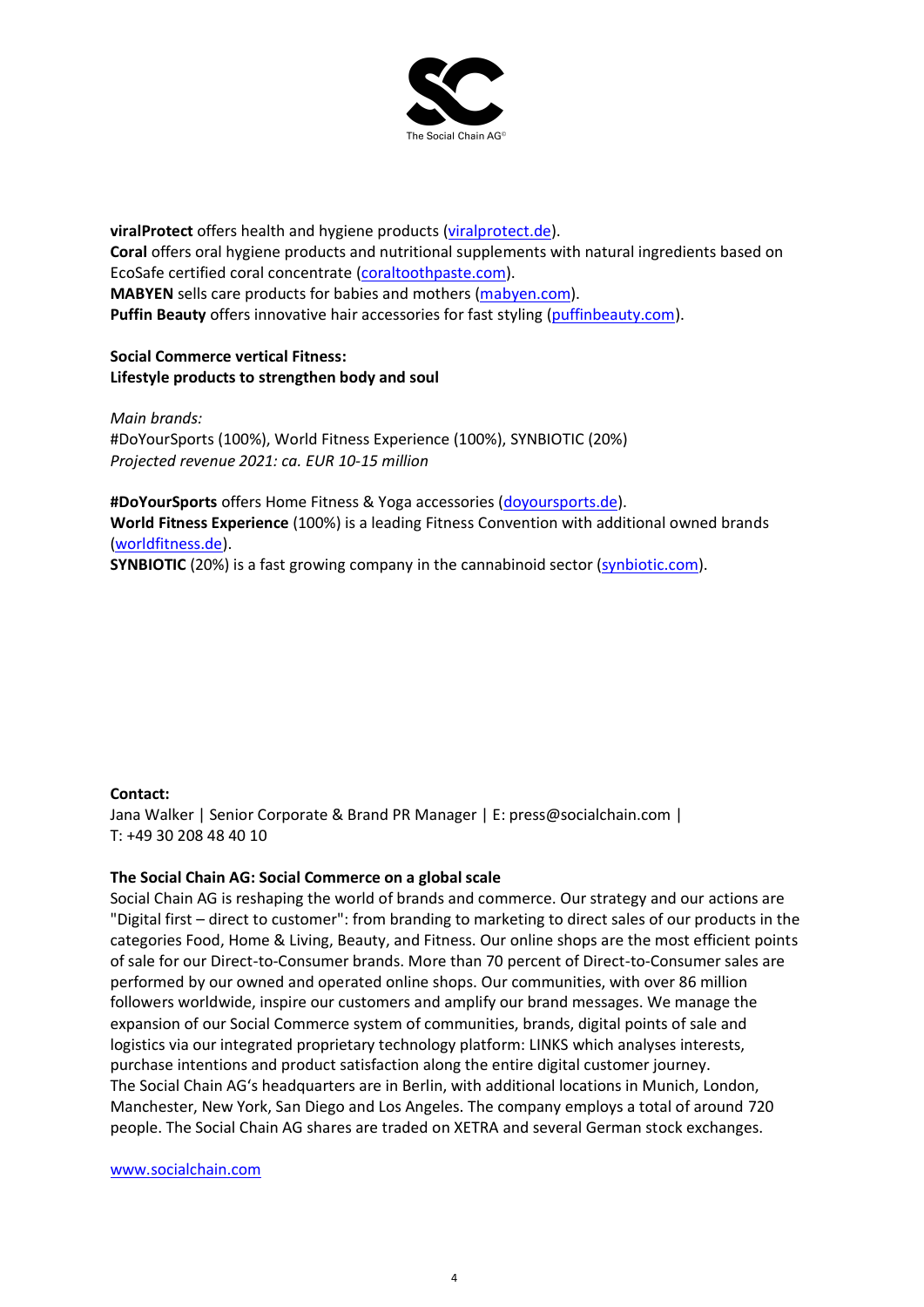

**viralProtect** offers health and hygiene products [\(viralprotect.de\)](http://www.viralprotect.de/). **Coral** offers oral hygiene products and nutritional supplements with natural ingredients based on EcoSafe certified coral concentrate [\(coraltoothpaste.com\)](http://coraltoothpaste.com/). **MABYEN** sells care products for babies and mothers [\(mabyen.com\)](http://www.mabyen.com/). **Puffin Beauty** offers innovative hair accessories for fast styling [\(puffinbeauty.com\)](http://www.puffinbeauty.com/).

**Social Commerce vertical Fitness: Lifestyle products to strengthen body and soul**

*Main brands:* #DoYourSports (100%), World Fitness Experience (100%), SYNBIOTIC (20%) *Projected revenue 2021: ca. EUR 10-15 million*

**#DoYourSports** offers Home Fitness & Yoga accessories [\(doyoursports.de\)](http://www.doyoursports.de/).

**World Fitness Experience** (100%) is a leading Fitness Convention with additional owned brands [\(worldfitness.de\)](http://www.worldfitness.de/).

**SYNBIOTIC** (20%) is a fast growing company in the cannabinoid sector [\(synbiotic.com\)](http://www.synbiotic.com/).

#### **Contact:**

Jana Walker | Senior Corporate & Brand PR Manager | E: press@socialchain.com | T: +49 30 208 48 40 10

#### **The Social Chain AG: Social Commerce on a global scale**

Social Chain AG is reshaping the world of brands and commerce. Our strategy and our actions are "Digital first – direct to customer": from branding to marketing to direct sales of our products in the categories Food, Home & Living, Beauty, and Fitness. Our online shops are the most efficient points of sale for our Direct-to-Consumer brands. More than 70 percent of Direct-to-Consumer sales are performed by our owned and operated online shops. Our communities, with over 86 million followers worldwide, inspire our customers and amplify our brand messages. We manage the expansion of our Social Commerce system of communities, brands, digital points of sale and logistics via our integrated proprietary technology platform: LINKS which analyses interests, purchase intentions and product satisfaction along the entire digital customer journey. The Social Chain AG's headquarters are in Berlin, with additional locations in Munich, London, Manchester, New York, San Diego and Los Angeles. The company employs a total of around 720 people. The Social Chain AG shares are traded on XETRA and several German stock exchanges.

#### [www.socialchain.com](http://www.socialchain.com/)